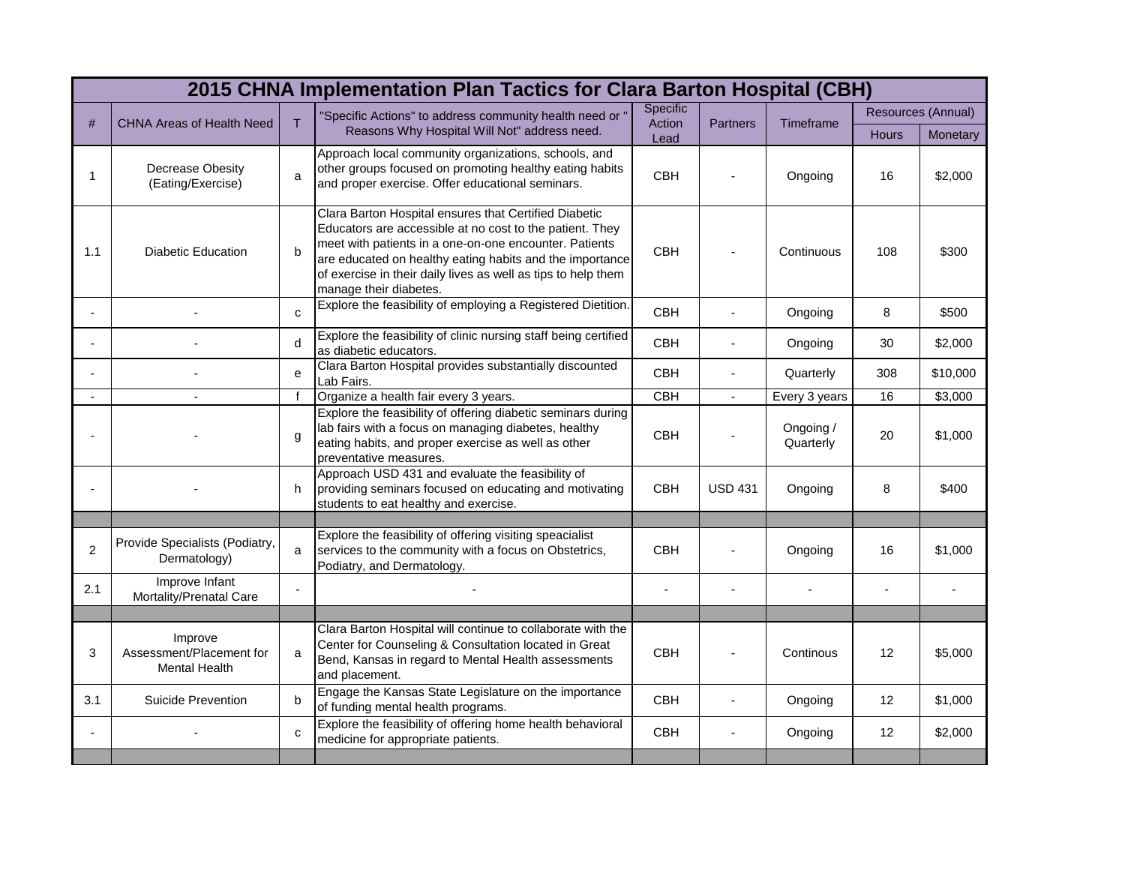| 2015 CHNA Implementation Plan Tactics for Clara Barton Hospital (CBH) |                                                             |              |                                                                                                                                                                                                                                                                                                                                    |                            |                 |                        |                    |          |  |  |
|-----------------------------------------------------------------------|-------------------------------------------------------------|--------------|------------------------------------------------------------------------------------------------------------------------------------------------------------------------------------------------------------------------------------------------------------------------------------------------------------------------------------|----------------------------|-----------------|------------------------|--------------------|----------|--|--|
| #                                                                     | <b>CHNA Areas of Health Need</b>                            | T            | "Specific Actions" to address community health need or<br>Reasons Why Hospital Will Not" address need.                                                                                                                                                                                                                             | Specific<br>Action<br>Lead | <b>Partners</b> | <b>Timeframe</b>       | Resources (Annual) |          |  |  |
|                                                                       |                                                             |              |                                                                                                                                                                                                                                                                                                                                    |                            |                 |                        | <b>Hours</b>       | Monetary |  |  |
| 1                                                                     | Decrease Obesity<br>(Eating/Exercise)                       | a            | Approach local community organizations, schools, and<br>other groups focused on promoting healthy eating habits<br>and proper exercise. Offer educational seminars.                                                                                                                                                                | <b>CBH</b>                 |                 | Ongoing                | 16                 | \$2,000  |  |  |
| 1.1                                                                   | <b>Diabetic Education</b>                                   | b            | Clara Barton Hospital ensures that Certified Diabetic<br>Educators are accessible at no cost to the patient. They<br>meet with patients in a one-on-one encounter. Patients<br>are educated on healthy eating habits and the importance<br>of exercise in their daily lives as well as tips to help them<br>manage their diabetes. | <b>CBH</b>                 |                 | Continuous             | 108                | \$300    |  |  |
|                                                                       |                                                             | $\mathbf{C}$ | Explore the feasibility of employing a Registered Dietition.                                                                                                                                                                                                                                                                       | <b>CBH</b>                 |                 | Ongoing                | 8                  | \$500    |  |  |
|                                                                       |                                                             | d            | Explore the feasibility of clinic nursing staff being certified<br>as diabetic educators.                                                                                                                                                                                                                                          | CBH                        | $\overline{a}$  | Ongoing                | 30                 | \$2,000  |  |  |
|                                                                       |                                                             | e            | Clara Barton Hospital provides substantially discounted<br>Lab Fairs.                                                                                                                                                                                                                                                              | <b>CBH</b>                 |                 | Quarterly              | 308                | \$10,000 |  |  |
|                                                                       |                                                             | $\mathsf{f}$ | Organize a health fair every 3 years.                                                                                                                                                                                                                                                                                              | <b>CBH</b>                 | $\overline{a}$  | Every 3 years          | 16                 | \$3,000  |  |  |
|                                                                       |                                                             | $\mathbf{q}$ | Explore the feasibility of offering diabetic seminars during<br>lab fairs with a focus on managing diabetes, healthy<br>eating habits, and proper exercise as well as other<br>preventative measures.                                                                                                                              | <b>CBH</b>                 |                 | Ongoing /<br>Quarterly | 20                 | \$1,000  |  |  |
|                                                                       |                                                             | h            | Approach USD 431 and evaluate the feasibility of<br>providing seminars focused on educating and motivating<br>students to eat healthy and exercise.                                                                                                                                                                                | <b>CBH</b>                 | <b>USD 431</b>  | Ongoing                | 8                  | \$400    |  |  |
|                                                                       |                                                             |              |                                                                                                                                                                                                                                                                                                                                    |                            |                 |                        |                    |          |  |  |
| $\overline{2}$                                                        | Provide Specialists (Podiatry,<br>Dermatology)              | a            | Explore the feasibility of offering visiting speacialist<br>services to the community with a focus on Obstetrics,<br>Podiatry, and Dermatology.                                                                                                                                                                                    | <b>CBH</b>                 |                 | Ongoing                | 16                 | \$1,000  |  |  |
| 2.1                                                                   | Improve Infant<br>Mortality/Prenatal Care                   |              |                                                                                                                                                                                                                                                                                                                                    |                            |                 |                        |                    |          |  |  |
|                                                                       |                                                             |              |                                                                                                                                                                                                                                                                                                                                    |                            |                 |                        |                    |          |  |  |
| 3                                                                     | Improve<br>Assessment/Placement for<br><b>Mental Health</b> | a            | Clara Barton Hospital will continue to collaborate with the<br>Center for Counseling & Consultation located in Great<br>Bend, Kansas in regard to Mental Health assessments<br>and placement.                                                                                                                                      | <b>CBH</b>                 |                 | Continous              | 12                 | \$5,000  |  |  |
| 3.1                                                                   | Suicide Prevention                                          | b            | Engage the Kansas State Legislature on the importance<br>of funding mental health programs.                                                                                                                                                                                                                                        | <b>CBH</b>                 |                 | Ongoing                | 12                 | \$1,000  |  |  |
|                                                                       |                                                             | $\mathbf{C}$ | Explore the feasibility of offering home health behavioral<br>medicine for appropriate patients.                                                                                                                                                                                                                                   | <b>CBH</b>                 |                 | Ongoing                | 12                 | \$2,000  |  |  |
|                                                                       |                                                             |              |                                                                                                                                                                                                                                                                                                                                    |                            |                 |                        |                    |          |  |  |